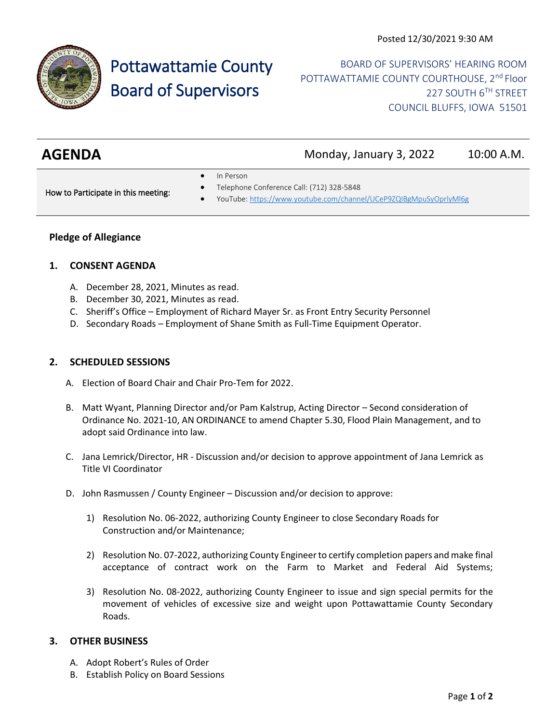

# Pottawattamie County Board of Supervisors

BOARD OF SUPERVISORS' HEARING ROOM POTTAWATTAMIE COUNTY COURTHOUSE, 2<sup>nd</sup> Floor 227 SOUTH 6TH STREET COUNCIL BLUFFS, IOWA 51501

| <b>AGENDA</b> | Monday, January 3, 2022 | 10:00 A.M. |
|---------------|-------------------------|------------|
|               |                         |            |

In Person

How to Participate in this meeting:

- Telephone Conference Call: (712) 328-5848
- YouTube[: https://www.youtube.com/channel/UCeP9ZQIBgMpuSyOprlyMl6g](https://www.youtube.com/channel/UCeP9ZQIBgMpuSyOprlyMl6g)

### **Pledge of Allegiance**

#### **1. CONSENT AGENDA**

- A. December 28, 2021, Minutes as read.
- B. December 30, 2021, Minutes as read.
- C. Sheriff's Office Employment of Richard Mayer Sr. as Front Entry Security Personnel
- D. Secondary Roads Employment of Shane Smith as Full-Time Equipment Operator.

#### **2. SCHEDULED SESSIONS**

- A. Election of Board Chair and Chair Pro-Tem for 2022.
- B. Matt Wyant, Planning Director and/or Pam Kalstrup, Acting Director Second consideration of Ordinance No. 2021-10, AN ORDINANCE to amend Chapter 5.30, Flood Plain Management, and to adopt said Ordinance into law.
- C. Jana Lemrick/Director, HR Discussion and/or decision to approve appointment of Jana Lemrick as Title VI Coordinator
- D. John Rasmussen / County Engineer Discussion and/or decision to approve:
	- 1) Resolution No. 06-2022, authorizing County Engineer to close Secondary Roads for Construction and/or Maintenance;
	- 2) Resolution No. 07-2022, authorizing County Engineer to certify completion papers and make final acceptance of contract work on the Farm to Market and Federal Aid Systems;
	- 3) Resolution No. 08-2022, authorizing County Engineer to issue and sign special permits for the movement of vehicles of excessive size and weight upon Pottawattamie County Secondary Roads.

## **3. OTHER BUSINESS**

- A. Adopt Robert's Rules of Order
- B. Establish Policy on Board Sessions